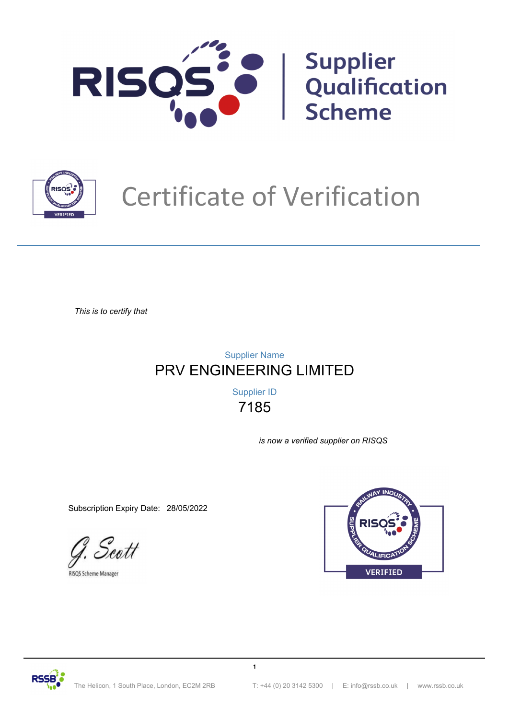



# Certificate of Verification

*This is to certify that*

# PRV ENGINEERING LIMITED Supplier Name

7185 Supplier ID

**1**

*is now a verified supplier on RISQS*

Subscription Expiry Date: 28/05/2022

Scott

RISQS Scheme Manager



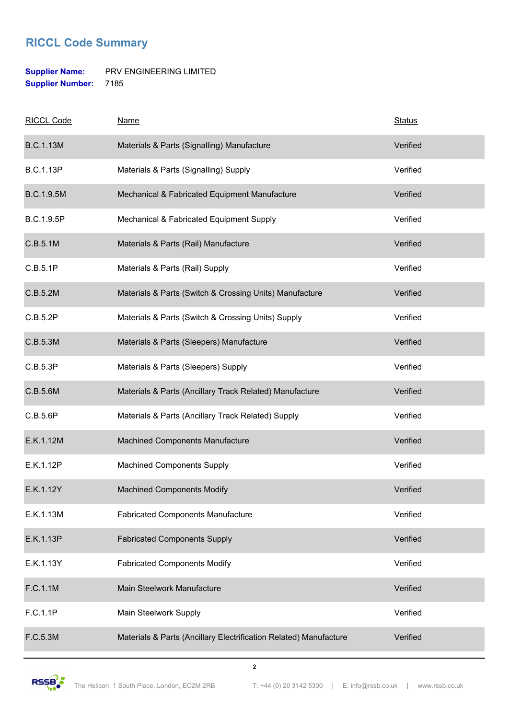### **RICCL Code Summary**

#### **Supplier Name:** PRV ENGINEERING LIMITED **Supplier Number:** 7185

| <b>RICCL Code</b> | <b>Name</b>                                                       | <b>Status</b> |
|-------------------|-------------------------------------------------------------------|---------------|
| <b>B.C.1.13M</b>  | Materials & Parts (Signalling) Manufacture                        | Verified      |
| <b>B.C.1.13P</b>  | Materials & Parts (Signalling) Supply                             | Verified      |
| B.C.1.9.5M        | Mechanical & Fabricated Equipment Manufacture                     | Verified      |
| B.C.1.9.5P        | Mechanical & Fabricated Equipment Supply                          | Verified      |
| C.B.5.1M          | Materials & Parts (Rail) Manufacture                              | Verified      |
| C.B.5.1P          | Materials & Parts (Rail) Supply                                   | Verified      |
| C.B.5.2M          | Materials & Parts (Switch & Crossing Units) Manufacture           | Verified      |
| C.B.5.2P          | Materials & Parts (Switch & Crossing Units) Supply                | Verified      |
| C.B.5.3M          | Materials & Parts (Sleepers) Manufacture                          | Verified      |
| C.B.5.3P          | Materials & Parts (Sleepers) Supply                               | Verified      |
| C.B.5.6M          | Materials & Parts (Ancillary Track Related) Manufacture           | Verified      |
| C.B.5.6P          | Materials & Parts (Ancillary Track Related) Supply                | Verified      |
| E.K.1.12M         | Machined Components Manufacture                                   | Verified      |
| E.K.1.12P         | <b>Machined Components Supply</b>                                 | Verified      |
| E.K.1.12Y         | <b>Machined Components Modify</b>                                 | Verified      |
| E.K.1.13M         | <b>Fabricated Components Manufacture</b>                          | Verified      |
| E.K.1.13P         | <b>Fabricated Components Supply</b>                               | Verified      |
| E.K.1.13Y         | <b>Fabricated Components Modify</b>                               | Verified      |
| F.C.1.1M          | Main Steelwork Manufacture                                        | Verified      |
| F.C.1.1P          | Main Steelwork Supply                                             | Verified      |
| F.C.5.3M          | Materials & Parts (Ancillary Electrification Related) Manufacture | Verified      |